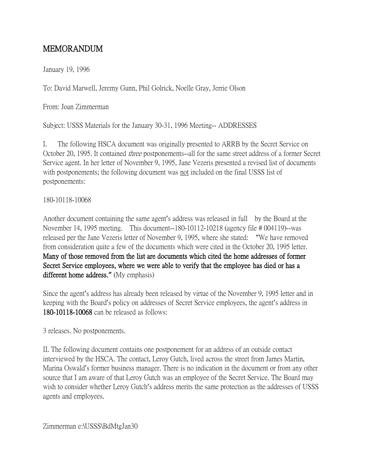## MEMORANDUM

January 19, 1996

To: David Marwell, Jeremy Gunn, Phil Golrick, Noelle Gray, Jerrie Olson

From: Joan Zimmerman

Subject: USSS Materials for the January 30-31, 1996 Meeting-- ADDRESSES

I. The following HSCA document was originally presented to ARRB by the Secret Service on October 20, 1995. It contained three postponements--all for the same street address of a former Secret Service agent. In her letter of November 9, 1995, Jane Vezeris presented a revised list of documents with postponements; the following document was not included on the final USSS list of postponements:

## 180-10118-10068

Another document containing the same agent's address was released in full by the Board at the November 14, 1995 meeting. This document--180-10112-10218 (agency file # 004119)--was released per the Jane Vezeris letter of November 9, 1995, where she stated: "We have removed from consideration quite a few of the documents which were cited in the October 20, 1995 letter. Many of those removed from the list are documents which cited the home addresses of former Secret Service employees, where we were able to verify that the employee has died or has a different home address.**"** (My emphasis)

Since the agent's address has already been released by virtue of the November 9, 1995 letter and in keeping with the Board's policy on addresses of Secret Service employees, the agent's address in 180-10118-10068 can be released as follows:

3 releases. No postponements.

II. The following document contains one postponement for an address of an outside contact interviewed by the HSCA. The contact, Leroy Gutch, lived across the street from James Martin, Marina Oswald's former business manager. There is no indication in the document or from any other source that I am aware of that Leroy Gutch was an employee of the Secret Service. The Board may wish to consider whether Leroy Gutch's address merits the same protection as the addresses of USSS agents and employees.